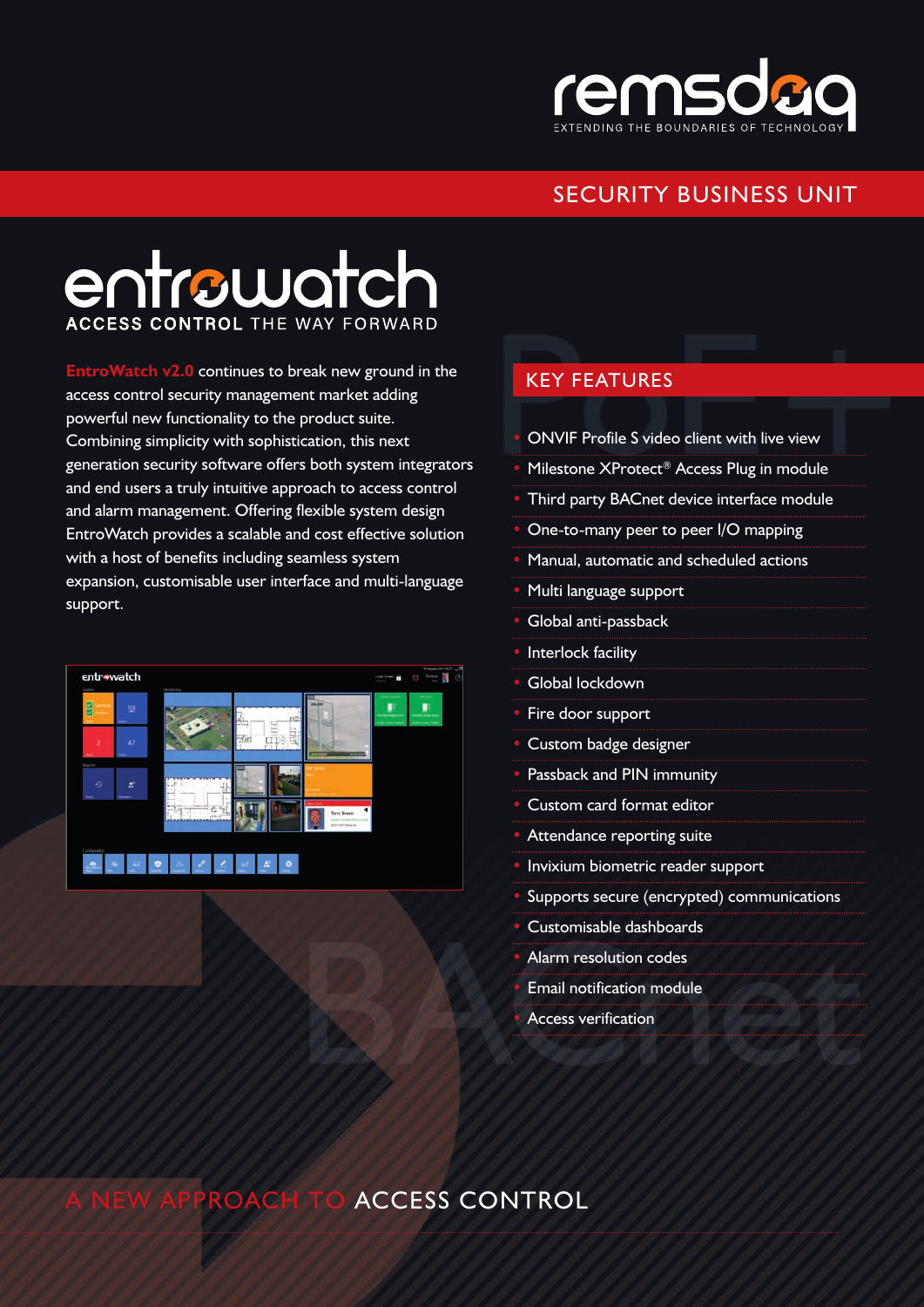

## SECURITY BUSINESS UNIT

# entrowatch **ACCESS CONTROL THE WAY FORWARD**

**EntroWatch v2.0** continues to break new ground in the access control security management market adding powerful new functionality to the product suite. Combining simplicity with sophistication, this next generation security software offers both system integrators and end users a truly intuitive approach to access control and alarm management. Offering flexible system design EntroWatch provides a scalable and cost effective solution with a host of benefits including seamless system expansion, customisable user interface and multi-language support.



#### KEY FEATURES

- ONVIF Profile S video client with live view
- Milestone XProtect® Access Plug in module
- Third party BACnet device interface module
- One-to-many peer to peer I/O mapping
- Manual, automatic and scheduled actions
- Multi language support
- Global anti-passback
- Interlock facility
- Global lockdown
- Fire door support
- Custom badge designer
- Passback and PIN immunity
- Custom card format editor
- Attendance reporting suite
- Invixium biometric reader support
- Supports secure (encrypted) communications
- Customisable dashboards
- Alarm resolution codes
- Email notification module
- Access verification

## **ACCESS CONTROL**